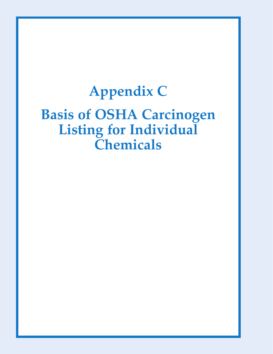## **Appendix C**

## **Basis of OSHA Carcinogen Listing for Individual Chemicals**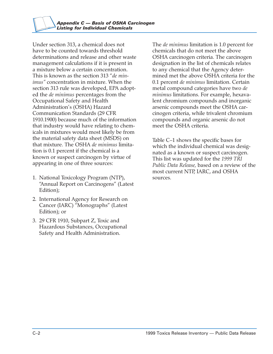Under section 313, a chemical does not have to be counted towards threshold determinations and release and other waste management calculations if it is present in a mixture below a certain concentration. This is known as the section 313 "*de minimus"* concentration in mixture. When the section 313 rule was developed, EPA adopted the *de minimus* percentages from the Occupational Safety and Health Administration's (OSHA) Hazard Communication Standards (29 CFR 1910.1900) because much of the information that industry would have relating to chemicals in mixtures would most likely be from the material safety data sheet (MSDS) on that mixture. The OSHA *de minimus* limitation is 0.1 percent if the chemical is a known or suspect carcinogen by virtue of appearing in one of three sources:

- 1. National Toxicology Program (NTP), "Annual Report on Carcinogens" (Latest Edition);
- 2. International Agency for Research on Cancer (IARC) "Monographs" (Latest Edition); or
- 3. 29 CFR 1910, Subpart Z, Toxic and Hazardous Substances, Occupational Safety and Health Administration.

The *de minimus* limitation is 1.0 percent for chemicals that do not meet the above OSHA carcinogen criteria. The carcinogen designation in the list of chemicals relates to any chemical that the Agency determined met the above OSHA criteria for the 0.1 percent *de minimus* limitation. Certain metal compound categories have two *de minimus* limitations. For example, hexavalent chromium compounds and inorganic arsenic compounds meet the OSHA carcinogen criteria, while trivalent chromium compounds and organic arsenic do not meet the OSHA criteria.

Table C–1 shows the specific bases for which the individual chemical was designated as a known or suspect carcinogen. This list was updated for the *1999 TRI Public Data Release,* based on a review of the most current NTP, IARC, and OSHA sources.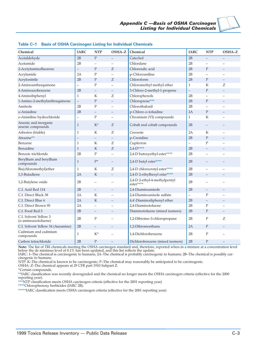| Chemical                                     | <b>IARC</b>              | <b>NTP</b>        | OSHA-Z                   | Chemical                                  | <b>IARC</b>              | <b>NTP</b>               | OSHA-Z                   |
|----------------------------------------------|--------------------------|-------------------|--------------------------|-------------------------------------------|--------------------------|--------------------------|--------------------------|
| Acetaldehyde                                 | 2B                       | P                 |                          | Catechol                                  | 2B                       |                          |                          |
| Acetamide                                    | 2B                       |                   |                          | Chlordane                                 | 2B                       | L,                       | $\overline{\phantom{0}}$ |
| 2-Acetylaminofluorene                        | $\overline{\phantom{0}}$ | $\mathbf{P}$      | Z                        | Chlorendic acid                           | 2B                       | $\mathbf{P}$             | $\equiv$                 |
| Acrylamide                                   | 2A                       | P                 |                          | p-Chloroaniline                           | 2B                       | $\overline{\phantom{0}}$ | $\overline{\phantom{0}}$ |
| Acrylonitrile                                | 2B                       | $\mathbf{P}$      | Z                        | Chloroform                                | 2B                       | $\mathbf{P}$             | $\qquad \qquad -$        |
| 2-Aminoanthraquinone                         | $\overline{a}$           | $\mathbf{P}$      | $\overline{a}$           | Chloromethyl methyl ether                 | $\mathbf{1}$             | K                        | Ζ                        |
| 4-Aminoazobenzene                            | 2B                       | $\qquad \qquad -$ | $\qquad \qquad -$        | 3-Chloro-2-methyl-1-propene               | $\overline{\phantom{0}}$ | $\mathbf{P}$             | $\qquad \qquad -$        |
| 4-Aminobiphenyl                              | 1                        | K                 | Ζ                        | Chlorophenols                             | 2B                       |                          |                          |
| 1-Amino-2-methylanthraquinone                | $\overline{\phantom{0}}$ | $\mathbf{P}$      | $\qquad \qquad -$        | Chloroprene***                            | 2B                       | $\mathbf{P}$             |                          |
| Amitrole                                     | 2B                       | P                 | $\overline{\phantom{0}}$ | Chlorothalonil                            | 2B                       | $\overline{\phantom{0}}$ | $\overline{\phantom{0}}$ |
| o-Anisidine                                  | 2B                       |                   |                          | p-Chloro-o-toluidine                      | 2A                       | $\mathbf{P}$             |                          |
| o-Anisidine hydrochloride                    | $\qquad \qquad -$        | $\mathbf{P}$      | $\overline{\phantom{0}}$ | Chromium (VI) compounds                   | 1                        | K                        | $\overline{\phantom{a}}$ |
| Arsenic and inorganic<br>arsenic compounds   | 1                        | $K^*$             | Ζ                        | Cobalt and cobalt compounds               | 2B                       |                          |                          |
| Asbestos (friable)                           | $\mathbf{1}$             | K                 | Z                        | Creosote                                  | 2A                       | K                        |                          |
| Atrazine**                                   |                          |                   | $\qquad \qquad -$        | p-Cresidine                               | 2B                       | $\mathbf{P}$             |                          |
| Benzene                                      | $\mathbf{1}$             | K                 | Ζ                        | Cupferron                                 | $\overline{\phantom{0}}$ | $\mathbf{P}$             |                          |
| Benzidine                                    | $\mathbf{1}$             | $\rm K$           | Ζ                        | $2.4 - D***$                              | 2B                       | $\equiv$                 |                          |
| Benzoic trichloride                          | 2B                       | P                 | $\overline{\phantom{0}}$ | 2,4-D butoxyethyl ester****               | 2B                       | $\overline{\phantom{0}}$ | L.                       |
| Beryllium and beryllium<br>compounds         | 1                        | $P*$              |                          | 2,4-D butyl ester****                     | 2B                       |                          |                          |
| Bis(chloromethyl)ether                       | 1                        | K                 | Z                        | 2,4-D chlorocrotyl ester****              | 2B                       | $\overline{\phantom{0}}$ | -                        |
| 1.3-Butadiene                                | 2A                       | $\mathbf K$       | $\qquad \qquad -$        | 2,4-D 2-ethylhexyl ester****              | 2B                       |                          |                          |
| 1,2-Butylene oxide                           | 2B                       |                   | $\qquad \qquad -$        | 2,4-D 2-ethyl-4-methylpentyl<br>ester**** | 2B                       |                          |                          |
| C.I. Acid Red 114                            | 2B                       | $\qquad \qquad -$ | $\qquad \qquad -$        | 2,4-Diaminoanisole                        | 2B                       | $\qquad \qquad -$        |                          |
| C.I. Direct Black 38                         | 2A                       | K                 | $\overline{\phantom{0}}$ | 2,4-Diaminoanisole sulfate                | $\qquad \qquad -$        | $\mathbf{P}$             |                          |
| C.I. Direct Blue 6                           | 2A                       | $\rm K$           | $\overline{\phantom{0}}$ | 4,4'-Diaminodiphenyl ether                | 2B                       | $\overline{\phantom{0}}$ |                          |
| C.I. Direct Brown 95                         | 2A                       |                   | L.                       | 2,4-Diaminotoluene                        | 2B                       | P                        | $\overline{\phantom{0}}$ |
| C.I. Food Red 5                              | 2B                       | $\qquad \qquad -$ | $\qquad \qquad -$        | Diaminotoluene (mixed isomers)            | 2B                       | $\mathbf{P}$             | $\overline{\phantom{0}}$ |
| C.I. Solvent Yellow 3<br>(o-aminoazotoluene) | 2B                       | $\mathbf{P}$      | $\overline{\phantom{a}}$ | 1,2-Dibromo-3-chloropropane               | 2B                       | $\mathbf{P}$             | Ζ                        |
| C.I. Solvent Yellow 34 (Auramine)            | 2B                       |                   | $\qquad \qquad -$        | 1,2-Dibromoethane                         | 2A                       | P                        |                          |
| Cadmium and cadmium<br>compounds             | 1                        | $K^*$             | L.                       | 1,4-Dichlorobenzene                       | 2B                       | $\mathbf{P}$             |                          |
| Carbon tetrachloride                         | 2B                       | $\mathbf{P}$      | $\overline{\phantom{0}}$ | Dichlorobenzene (mixed isomers)           | 2B                       | $\mathbf{P}$             |                          |

**Note:** The list of TRI chemicals meeting the OSHA carcinogen standard and, therefore, reported when in a mixture at a concentration level below the de minimus level of 0.1% has been updated, and this list reflects the update.

IARC: 1–The chemical is carcinogenic to humans; 2A–The chemical is probably carcinogenic to humans; 2B–The chemical is possibly carcinogenic to humans.

NTP: K–The chemical is known to be carcinogenic; P–The chemical may reasonably be anticipated to be carcinogenic.

OSHA: Z–The chemical appears at 29 CFR part 1910 Subpart Z.

**\***Certain compounds.

**\*\***IARC classification was recently downgraded and the chemical no longer meets the OSHA carcinogen criteria (effective for the 2000 reporting year).

**\*\*\***NTP classification meets OSHA carcinogen criteria (effective for the 2001 reporting year)

**\*\*\*\***Chlorophenoxy herbicides (IARC 2B).

**\*\*\*\*\***IARC classification meets OSHA carcinogen criteria (effective for the 2001 reporting year)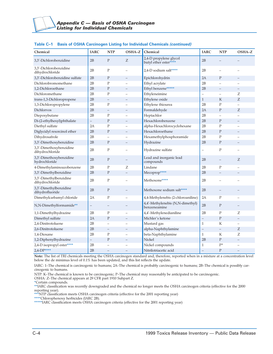| Chemical                                   | <b>IARC</b>       | <b>NTP</b>               | OSHA-Z                   | Chemical                                         | <b>IARC</b>              | <b>NTP</b>               | OSHA-Z                   |
|--------------------------------------------|-------------------|--------------------------|--------------------------|--------------------------------------------------|--------------------------|--------------------------|--------------------------|
| 3,3'-Dichlorobenzidine                     | 2B                | $\mathbf{P}$             | Z                        | 2,4-D propylene glycol<br>butyl ether ester****  | 2B                       |                          |                          |
| 3,3'-Dichlorobenzidine<br>dihydrochloride  | 2B                | $\mathbf{P}$             | $\overline{\phantom{0}}$ | 2,4-D sodium salt****                            | 2B                       |                          | $\overline{\phantom{0}}$ |
| 3,3'-Dichlorobenzidine sulfate             | 2B                | $\mathbf{P}$             | $\equiv$                 | Epichlorohydrin                                  | 2A                       | $\mathbf{P}$             | $=$                      |
| Dichlorobromomethane                       | 2B                | $\mathbf{P}$             | $\overline{\phantom{0}}$ | Ethyl acrylate                                   | 2B                       | $\overline{\phantom{0}}$ | $\overline{\phantom{0}}$ |
| 1,2-Dichloroethane                         | 2B                | $\mathbf{P}$             |                          | Ethyl benzene*****                               | 2B                       |                          |                          |
| Dichloromethane                            | 2B                | $\mathbf{P}$             | $\overline{\phantom{0}}$ | Ethyleneimine                                    | $\overline{\phantom{0}}$ | $\overline{\phantom{0}}$ | Ζ                        |
| trans-1,3-Dichloropropene                  | 2B                | $\overline{\phantom{0}}$ |                          | Ethylene oxide                                   | $\mathbf{1}$             | K                        | Z                        |
| 1,3-Dichloropropylene                      | 2B                | $\mathbf{P}$             | $\overline{\phantom{0}}$ | Ethylene thiourea                                | 2B                       | $\mathbf{P}$             | $\equiv$                 |
| Dichlorvos                                 | 2B                | $\equiv$                 |                          | Formaldehyde                                     | 2A                       | $\mathbf{P}$             | Z                        |
| Diepoxybutane                              | 2B                | $\mathbf{P}$             | $\overline{a}$           | Heptachlor                                       | 2B                       | $\overline{\phantom{0}}$ | $\overline{a}$           |
| Di-(2-ethylhexyl)phthalate                 | $\equiv$          | $\mathbf{P}$             | $\equiv$                 | Hexachlorobenzene                                | 2B                       | $\mathbf{P}$             | $\overline{\phantom{0}}$ |
| Diethyl sulfate                            | 2A                | $\mathbf{P}$             | $\overline{\phantom{0}}$ | alpha-Hexachlorocyclohexane                      | 2B                       | $\mathbf{P}$             | $\overline{\phantom{0}}$ |
| Diglycidyl resorcinol ether                | 2B                | $\mathbf{P}$             | $\qquad \qquad -$        | Hexachloroethane                                 | 2B                       | $\mathbf{P}$             | $\overline{\phantom{0}}$ |
| Dihydrosafrole                             | 2B                | $\overline{a}$           |                          | Hexamethylphosphoramide                          | 2B                       | $\mathbf{P}$             | $\overline{\phantom{0}}$ |
| 3,3'-Dimethoxybenzidine                    | 2B                | $\mathbf P$              | $\qquad \qquad -$        | Hydrazine                                        | 2B                       | $\mathbf{P}$             | $\overline{\phantom{0}}$ |
| 3,3'-Dimethoxybenzidine<br>dihydrochloride | 2B                | $\mathbf P$              | $\overline{\phantom{0}}$ | Hydrazine sulfate                                | $\qquad \qquad -$        | $\mathbf{P}$             | $\overline{\phantom{0}}$ |
| 3,3'-Dimethoxybenzidine<br>hydrochloride   | 2B                | $\mathbf{P}$             | $\overline{\phantom{0}}$ | Lead and inorganic lead<br>compounds             | 2B                       | $\overline{\phantom{0}}$ | Z                        |
| 4-Dimethylaminoazobenzene                  | 2B                | $\mathbf{P}$             | Ζ                        | Lindane                                          | 2B                       | $\mathbf{P}$             | $\equiv$                 |
| 3,3'-Dimethylbenzidine                     | 2B                | $\mathbf{P}$             | $\equiv$                 | Mecoprop****                                     | 2B                       | $\equiv$                 | $\overline{\phantom{0}}$ |
| 3,3'-Dimethylbenzidine<br>dihydrochloride  | 2B                | $\mathbf{P}$             | $\overline{\phantom{0}}$ | Methoxone****                                    | 2B                       |                          |                          |
| 3,3'-Dimethylbenzidine<br>dihydrofluoride  | 2B                | $\mathbf{P}$             | $\overline{\phantom{0}}$ | Methoxone sodium salt****                        | 2B                       |                          |                          |
| Dimethylcarbamyl chloride                  | 2A                | $\mathbf P$              | $\overline{\phantom{0}}$ | 4,4-Methylenebis (2-chloroaniline)               | 2A                       | $\mathbf{P}$             |                          |
| N,N-Dimethylformamide**                    | $\qquad \qquad -$ | $\overline{\phantom{0}}$ |                          | 4,4'-Methylenebis (N,N-dimethyl)<br>benzeneamine | 2B                       | $\mathbf{P}$             |                          |
| 1,1-Dimethylhydrazine                      | 2B                | $\mathbf{P}$             | $\qquad \qquad -$        | 4,4'-Methylenedianiline                          | 2B                       | ${\bf P}$                | Ζ                        |
| Dimethyl sulfate                           | 2A                | $\mathbf{P}$             | $\overline{\phantom{0}}$ | Michler's ketone                                 | $\overline{\phantom{0}}$ | ${\bf P}$                | $-$                      |
| 2,4-Dinitrotoluene                         | 2B                | $\overline{a}$           | ÷                        | Mustard gas                                      | $\mathbf{1}$             | K                        | $\overline{\phantom{0}}$ |
| 2,6-Dinitrotoluene                         | 2B                | $\overline{\phantom{0}}$ | $\overline{\phantom{0}}$ | alpha-Naphthylamine                              | $\qquad \qquad -$        |                          | Z                        |
| 1,4-Dioxane                                | 2B                | $\mathbf{P}$             | $\overline{\phantom{0}}$ | beta-Naphthylamine                               | $\mathbf{1}$             | K                        | Ζ                        |
| 1,2-Diphenylhydrazine                      | $\qquad \qquad -$ | $\mathbf{P}$             | $\overline{\phantom{0}}$ | Nickel                                           | 2B                       | $\mathbf{P}$             |                          |
| 2,4-D isopropyl ester****                  | 2B                | $\overline{\phantom{0}}$ | $\overline{\phantom{0}}$ | Nickel compounds                                 | $\mathbf{1}$             | $P*$                     | $\overline{\phantom{0}}$ |
| $2,4$ -DP****                              | 2B                |                          | ÷                        | Nitrilotriacetic acid                            | ÷                        | P                        |                          |

## **Table C–1 Basis of OSHA Carcinogen Listing for Individual Chemicals** *(continued)*

**Note:** The list of TRI chemicals meeting the OSHA carcinogen standard and, therefore, reported when in a mixture at a concentration level below the de minimus level of 0.1% has been updated, and this list reflects the update.

IARC: 1–The chemical is carcinogenic to humans; 2A–The chemical is probably carcinogenic to humans; 2B–The chemical is possibly carcinogenic to humans.

NTP: K–The chemical is known to be carcinogenic; P–The chemical may reasonably be anticipated to be carcinogenic.

OSHA: Z–The chemical appears at 29 CFR part 1910 Subpart Z.

**\***Certain compounds.

**\*\***IARC classification was recently downgraded and the chemical no longer meets the OSHA carcinogen criteria (effective for the 2000 reporting year).

**\*\*\***NTP classification meets OSHA carcinogen criteria (effective for the 2001 reporting year)

**\*\*\*\***Chlorophenoxy herbicides (IARC 2B).

**\*\*\*\*\***IARC classification meets OSHA carcinogen criteria (effective for the 2001 reporting year)